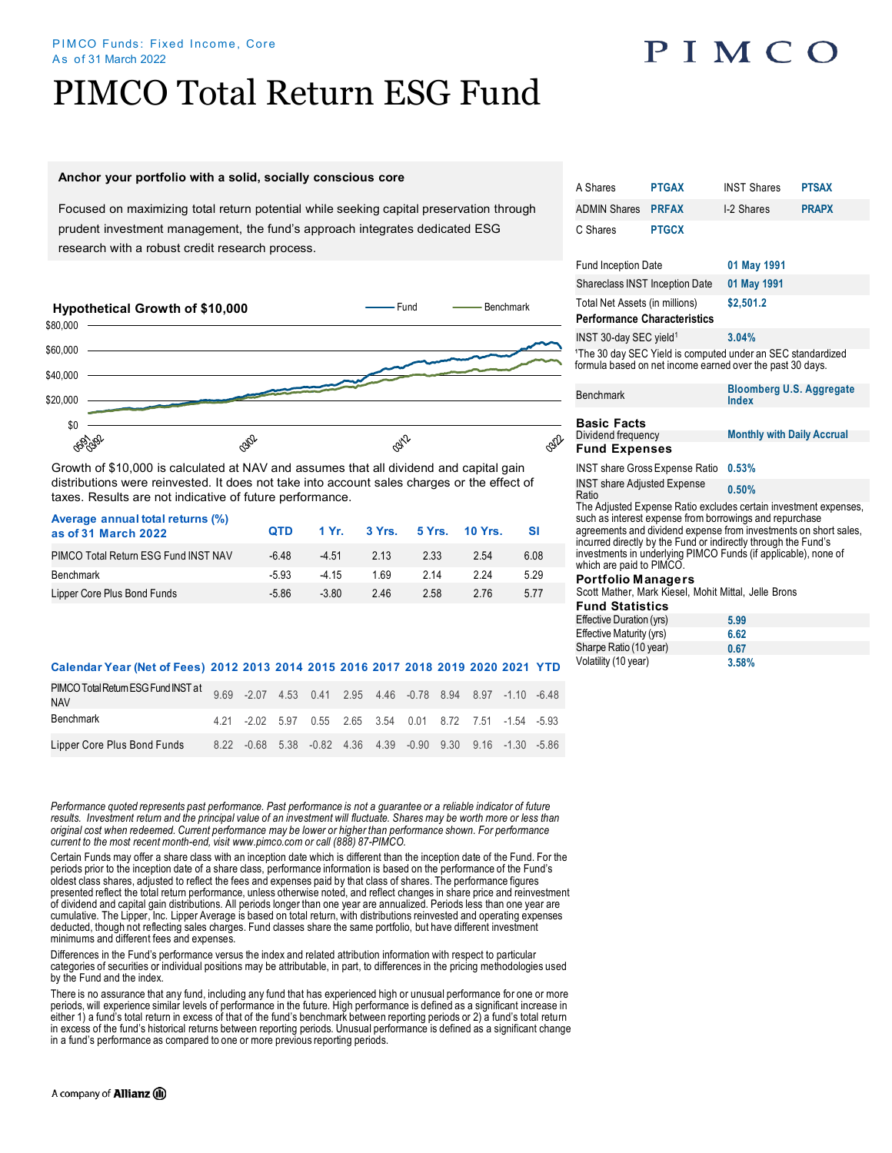#### PIMCO Funds: Fixed Income, Core As of 31 March 2022

# PIMCO Total Return ESG Fund

### **Anchor your portfolio with a solid, socially conscious core**

Focused on maximizing total return potential while seeking capital preservation through prudent investment management, the fund's approach integrates dedicated ESG research with a robust credit research process.



Growth of \$10,000 is calculated at NAV and assumes that all dividend and capital gain distributions were reinvested. It does not take into account sales charges or the effect of taxes. Results are not indicative of future performance.

| Average annual total returns (%)<br>as of 31 March 2022 | <b>OTD</b> |         | 1 Yr. 3 Yrs. 5 Yrs. 10 Yrs. |      |      | - SI  |  |
|---------------------------------------------------------|------------|---------|-----------------------------|------|------|-------|--|
| PIMCO Total Return ESG Fund INST NAV                    | -6.48      | $-4.51$ | 2 1 3                       | 2.33 | 2.54 | 6.08  |  |
| Benchmark                                               | $-5.93$    | $-415$  | 169                         | 2 14 | 224  | 5.29  |  |
| Lipper Core Plus Bond Funds                             | -5.86      | $-3.80$ | 246                         | 2.58 | 276  | 5 7 7 |  |

## Volatility (10 year) **3.58% Calendar Year (Net of Fees) 2012 2013 2014 2015 2016 2017 2018 2019 2020 2021 YTD**

| PIMCO Total Return ESG Fund INST at 9.69 - 2.07 4.53 0.41 2.95 4.46 - 0.78 8.94 8.97 - 1.10 - 6.48<br><b>NAV</b> |  |  |  |                                                             |  |  |
|------------------------------------------------------------------------------------------------------------------|--|--|--|-------------------------------------------------------------|--|--|
| Benchmark                                                                                                        |  |  |  | 4.21 -2.02 5.97 0.55 2.65 3.54 0.01 8.72 7.51 -1.54 -5.93   |  |  |
| Lipper Core Plus Bond Funds                                                                                      |  |  |  | 8.22 -0.68 5.38 -0.82 4.36 4.39 -0.90 9.30 9.16 -1.30 -5.86 |  |  |

*Performance quoted represents past performance. Past performance is not a guarantee or a reliable indicator of future*  results. Investment return and the principal value of an investment will fluctuate. Shares may be worth more or less than *original cost when redeemed. Current performance may be lower or higher than performance shown. For performance current to the most recent month-end, visit www.pimco.com or call (888) 87-PIMCO.*

Certain Funds may offer a share class with an inception date which is different than the inception date of the Fund. For the periods prior to the inception date of a share class, performance information is based on the performance of the Fund's oldest class shares, adjusted to reflect the fees and expenses paid by that class of shares. The performance figures<br>presented reflect the total return performance, unless otherwise noted, and reflect changes in share pric of dividend and capital gain distributions. All periods longer than one year are annualized. Periods less than one year are cumulative. The Lipper, Inc. Lipper Average is based on total return, with distributions reinvested and operating expenses deducted, though not reflecting sales charges. Fund classes share the same portfolio, but have different investment minimums and different fees and expenses.

Differences in the Fund's performance versus the index and related attribution information with respect to particular categories of securities or individual positions may be attributable, in part, to differences in the pricing methodologies used by the Fund and the index.

There is no assurance that any fund, including any fund that has experienced high or unusual performance for one or more periods, will experience similar levels of performance in the future. High performance is defined as a significant increase in either 1) a fund's total return in excess of that of the fund's benchmark between reporting periods or 2) a fund's total return in excess of the fund's historical returns between reporting periods. Unusual performance is defined as a significant change in a fund's performance as compared to one or more previous reporting periods.

|                                                                                                                                                                                                                                                                                                                                                                 | A Shares                                                                          | <b>PTGAX</b>                                                                                                                         | <b>INST Shares</b>                       | <b>PTSAX</b> |  |  |  |  |  |
|-----------------------------------------------------------------------------------------------------------------------------------------------------------------------------------------------------------------------------------------------------------------------------------------------------------------------------------------------------------------|-----------------------------------------------------------------------------------|--------------------------------------------------------------------------------------------------------------------------------------|------------------------------------------|--------------|--|--|--|--|--|
|                                                                                                                                                                                                                                                                                                                                                                 | <b>ADMIN Shares</b>                                                               | <b>PRFAX</b>                                                                                                                         | I-2 Shares                               | <b>PRAPX</b> |  |  |  |  |  |
|                                                                                                                                                                                                                                                                                                                                                                 | C Shares                                                                          | <b>PTGCX</b>                                                                                                                         |                                          |              |  |  |  |  |  |
|                                                                                                                                                                                                                                                                                                                                                                 | <b>Fund Inception Date</b>                                                        |                                                                                                                                      | 01 May 1991                              |              |  |  |  |  |  |
|                                                                                                                                                                                                                                                                                                                                                                 | <b>Shareclass INST Inception Date</b>                                             |                                                                                                                                      | 01 May 1991                              |              |  |  |  |  |  |
|                                                                                                                                                                                                                                                                                                                                                                 | Total Net Assets (in millions)<br>\$2,501.2<br><b>Performance Characteristics</b> |                                                                                                                                      |                                          |              |  |  |  |  |  |
|                                                                                                                                                                                                                                                                                                                                                                 | INST 30-day SEC yield <sup>1</sup>                                                |                                                                                                                                      | 3.04%                                    |              |  |  |  |  |  |
|                                                                                                                                                                                                                                                                                                                                                                 |                                                                                   | <sup>1</sup> The 30 day SEC Yield is computed under an SEC standardized<br>formula based on net income earned over the past 30 days. |                                          |              |  |  |  |  |  |
|                                                                                                                                                                                                                                                                                                                                                                 | <b>Benchmark</b>                                                                  |                                                                                                                                      | <b>Bloomberg U.S. Aggregate</b><br>Index |              |  |  |  |  |  |
|                                                                                                                                                                                                                                                                                                                                                                 | <b>Basic Facts</b>                                                                |                                                                                                                                      |                                          |              |  |  |  |  |  |
|                                                                                                                                                                                                                                                                                                                                                                 | Dividend frequency                                                                |                                                                                                                                      | <b>Monthly with Daily Accrual</b>        |              |  |  |  |  |  |
|                                                                                                                                                                                                                                                                                                                                                                 | <b>Fund Expenses</b>                                                              |                                                                                                                                      |                                          |              |  |  |  |  |  |
|                                                                                                                                                                                                                                                                                                                                                                 | <b>INST share Gross Expense Ratio</b>                                             |                                                                                                                                      | 0.53%                                    |              |  |  |  |  |  |
|                                                                                                                                                                                                                                                                                                                                                                 | <b>INST share Adjusted Expense</b><br>Ratio                                       |                                                                                                                                      | 0.50%                                    |              |  |  |  |  |  |
| The Adjusted Expense Ratio excludes certain investment expenses.<br>such as interest expense from borrowings and repurchase<br>agreements and dividend expense from investments on short sales.<br>incurred directly by the Fund or indirectly through the Fund's<br>investments in underlying PIMCO Funds (if applicable), none of<br>which are paid to PIMCO. |                                                                                   |                                                                                                                                      |                                          |              |  |  |  |  |  |
|                                                                                                                                                                                                                                                                                                                                                                 | <b>Portfolio Managers</b><br>Scott Mather, Mark Kiesel, Mohit Mittal, Jelle Brons |                                                                                                                                      |                                          |              |  |  |  |  |  |
|                                                                                                                                                                                                                                                                                                                                                                 | <b>Fund Statistics</b>                                                            |                                                                                                                                      |                                          |              |  |  |  |  |  |
|                                                                                                                                                                                                                                                                                                                                                                 | Effective Duration (yrs)                                                          |                                                                                                                                      | 5.99                                     |              |  |  |  |  |  |
|                                                                                                                                                                                                                                                                                                                                                                 | Effective Maturity (yrs)<br>6.62                                                  |                                                                                                                                      |                                          |              |  |  |  |  |  |
|                                                                                                                                                                                                                                                                                                                                                                 | Sharpe Ratio (10 year)                                                            |                                                                                                                                      | 0.67                                     |              |  |  |  |  |  |

## PIMCO